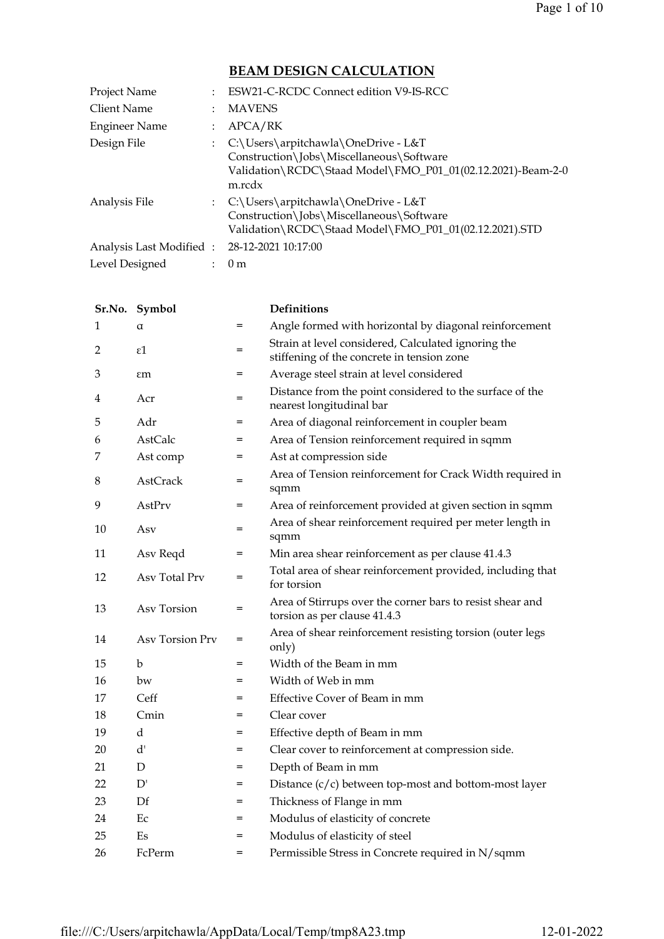# BEAM DESIGN CALCULATION

| Project Name                                | ESW21-C-RCDC Connect edition V9-IS-RCC                                                                                                                     |
|---------------------------------------------|------------------------------------------------------------------------------------------------------------------------------------------------------------|
| Client Name                                 | <b>MAVENS</b>                                                                                                                                              |
| Engineer Name                               | APCA/RK                                                                                                                                                    |
| Design File                                 | : C:\Users\arpitchawla\OneDrive - L&T<br>Construction\Jobs\Miscellaneous\Software<br>Validation\RCDC\Staad Model\FMO_P01_01(02.12.2021)-Beam-2-0<br>m.rcdx |
| Analysis File                               | : C:\Users\arpitchawla\OneDrive - L&T<br>Construction\Jobs\Miscellaneous\Software<br>Validation\RCDC\Staad Model\FMO_P01_01(02.12.2021).STD                |
| Analysis Last Modified: 28-12-2021 10:17:00 |                                                                                                                                                            |
| Level Designed                              | 0 <sub>m</sub>                                                                                                                                             |

|    | Sr.No. Symbol   |                   | <b>Definitions</b>                                                                                |
|----|-----------------|-------------------|---------------------------------------------------------------------------------------------------|
| 1  | $\alpha$        | $=$               | Angle formed with horizontal by diagonal reinforcement                                            |
| 2  | $\varepsilon$ 1 | $=$               | Strain at level considered, Calculated ignoring the<br>stiffening of the concrete in tension zone |
| 3  | $\epsilon$ m    | $\qquad \qquad =$ | Average steel strain at level considered                                                          |
| 4  | Acr             | $=$               | Distance from the point considered to the surface of the<br>nearest longitudinal bar              |
| 5  | Adr             | $=$               | Area of diagonal reinforcement in coupler beam                                                    |
| 6  | <b>AstCalc</b>  | $=$               | Area of Tension reinforcement required in sqmm                                                    |
| 7  | Ast comp        | $=$               | Ast at compression side                                                                           |
| 8  | AstCrack        | $=$               | Area of Tension reinforcement for Crack Width required in<br>sqmm                                 |
| 9  | AstPrv          | $=$               | Area of reinforcement provided at given section in sqmm                                           |
| 10 | Asv             | =                 | Area of shear reinforcement required per meter length in<br>sqmm                                  |
| 11 | Asv Reqd        | $=$               | Min area shear reinforcement as per clause 41.4.3                                                 |
| 12 | Asv Total Prv   | $=$               | Total area of shear reinforcement provided, including that<br>for torsion                         |
| 13 | Asv Torsion     | $=$               | Area of Stirrups over the corner bars to resist shear and<br>torsion as per clause 41.4.3         |
| 14 | Asv Torsion Prv | $=$               | Area of shear reinforcement resisting torsion (outer legs<br>only)                                |
| 15 | $\mathbf b$     | $=$               | Width of the Beam in mm                                                                           |
| 16 | bw              | $=$               | Width of Web in mm                                                                                |
| 17 | Ceff            | =                 | Effective Cover of Beam in mm                                                                     |
| 18 | Cmin            | $=$               | Clear cover                                                                                       |
| 19 | $\mathbf d$     | $=$               | Effective depth of Beam in mm                                                                     |
| 20 | d'              | $=$               | Clear cover to reinforcement at compression side.                                                 |
| 21 | D               | $=$               | Depth of Beam in mm                                                                               |
| 22 | D'              | $=$               | Distance $(c/c)$ between top-most and bottom-most layer                                           |
| 23 | $\mathbf{D}$ f  | $=$               | Thickness of Flange in mm                                                                         |
| 24 | Ec              | =                 | Modulus of elasticity of concrete                                                                 |
| 25 | Es              | $=$               | Modulus of elasticity of steel                                                                    |
| 26 | FcPerm          | $=$               | Permissible Stress in Concrete required in N/sqmm                                                 |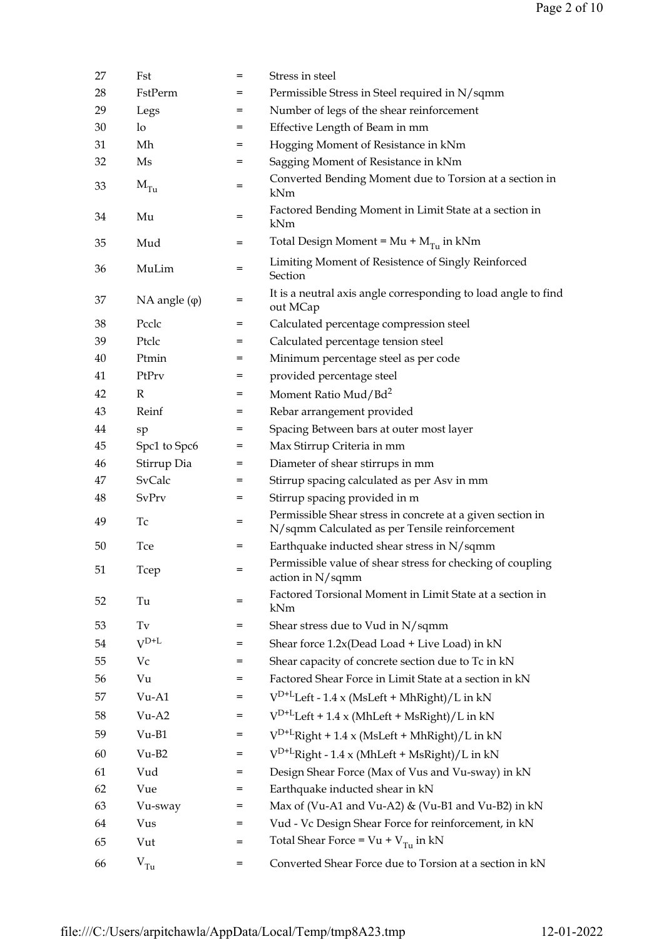| 27 | Fst                    | $=$ | Stress in steel                                                                                              |
|----|------------------------|-----|--------------------------------------------------------------------------------------------------------------|
| 28 | FstPerm                | =   | Permissible Stress in Steel required in N/sqmm                                                               |
| 29 | Legs                   | =   | Number of legs of the shear reinforcement                                                                    |
| 30 | lo                     | $=$ | Effective Length of Beam in mm                                                                               |
| 31 | Mh                     | =   | Hogging Moment of Resistance in kNm                                                                          |
| 32 | Ms                     | =   | Sagging Moment of Resistance in kNm                                                                          |
| 33 | $\rm M_{Tu}$           | $=$ | Converted Bending Moment due to Torsion at a section in<br>kNm                                               |
| 34 | Mu                     | $=$ | Factored Bending Moment in Limit State at a section in<br>kNm                                                |
| 35 | Mud                    | $=$ | Total Design Moment = $Mu + M_{Tu}$ in kNm                                                                   |
| 36 | MuLim                  | =   | Limiting Moment of Resistence of Singly Reinforced<br>Section                                                |
| 37 | $NA$ angle $(\varphi)$ | $=$ | It is a neutral axis angle corresponding to load angle to find<br>out MCap                                   |
| 38 | Pcclc                  | $=$ | Calculated percentage compression steel                                                                      |
| 39 | Ptclc                  | =   | Calculated percentage tension steel                                                                          |
| 40 | Ptmin                  | =   | Minimum percentage steel as per code                                                                         |
| 41 | PtPrv                  | =   | provided percentage steel                                                                                    |
| 42 | $\mathbb{R}$           | $=$ | Moment Ratio Mud/Bd <sup>2</sup>                                                                             |
| 43 | Reinf                  | $=$ | Rebar arrangement provided                                                                                   |
| 44 | sp                     | =   | Spacing Between bars at outer most layer                                                                     |
| 45 | Spc1 to Spc6           | =   | Max Stirrup Criteria in mm                                                                                   |
| 46 | Stirrup Dia            | $=$ | Diameter of shear stirrups in mm                                                                             |
| 47 | SvCalc                 | =   | Stirrup spacing calculated as per Asv in mm                                                                  |
| 48 | SvPrv                  | =   | Stirrup spacing provided in m                                                                                |
| 49 | Тc                     | $=$ | Permissible Shear stress in concrete at a given section in<br>N/sqmm Calculated as per Tensile reinforcement |
| 50 | Tce                    | $=$ | Earthquake inducted shear stress in N/sqmm                                                                   |
| 51 | Tcep                   |     | Permissible value of shear stress for checking of coupling<br>action in N/sqmm                               |
| 52 | Tu                     | $=$ | Factored Torsional Moment in Limit State at a section in<br>kNm                                              |
| 53 | $\operatorname{Tv}$    | =   | Shear stress due to Vud in N/sqmm                                                                            |
| 54 | $V^{D+L}$              | =   | Shear force 1.2x(Dead Load + Live Load) in kN                                                                |
| 55 | Vc                     | $=$ | Shear capacity of concrete section due to Tc in kN                                                           |
| 56 | Vu                     | =   | Factored Shear Force in Limit State at a section in kN                                                       |
| 57 | $Vu-A1$                | $=$ | $V^{D+L}$ Left - 1.4 x (MsLeft + MhRight)/L in kN                                                            |
| 58 | $Vu-A2$                | $=$ | $V^{D+L}$ Left + 1.4 x (MhLeft + MsRight)/L in kN                                                            |
| 59 | $Vu-B1$                | =   | $V^{D+L}$ Right + 1.4 x (MsLeft + MhRight)/L in kN                                                           |
| 60 | $Vu-B2$                | =   | $V^{D+L}$ Right - 1.4 x (MhLeft + MsRight)/L in kN                                                           |
| 61 | Vud                    | $=$ | Design Shear Force (Max of Vus and Vu-sway) in kN                                                            |
| 62 | Vue                    | =   | Earthquake inducted shear in kN                                                                              |
| 63 | Vu-sway                | =   | Max of (Vu-A1 and Vu-A2) & (Vu-B1 and Vu-B2) in kN                                                           |
| 64 | Vus                    | =   | Vud - Vc Design Shear Force for reinforcement, in kN                                                         |
| 65 | Vut                    | $=$ | Total Shear Force = $Vu + V_{Tu}$ in kN                                                                      |
| 66 | V <sub>Tu</sub>        | $=$ | Converted Shear Force due to Torsion at a section in kN                                                      |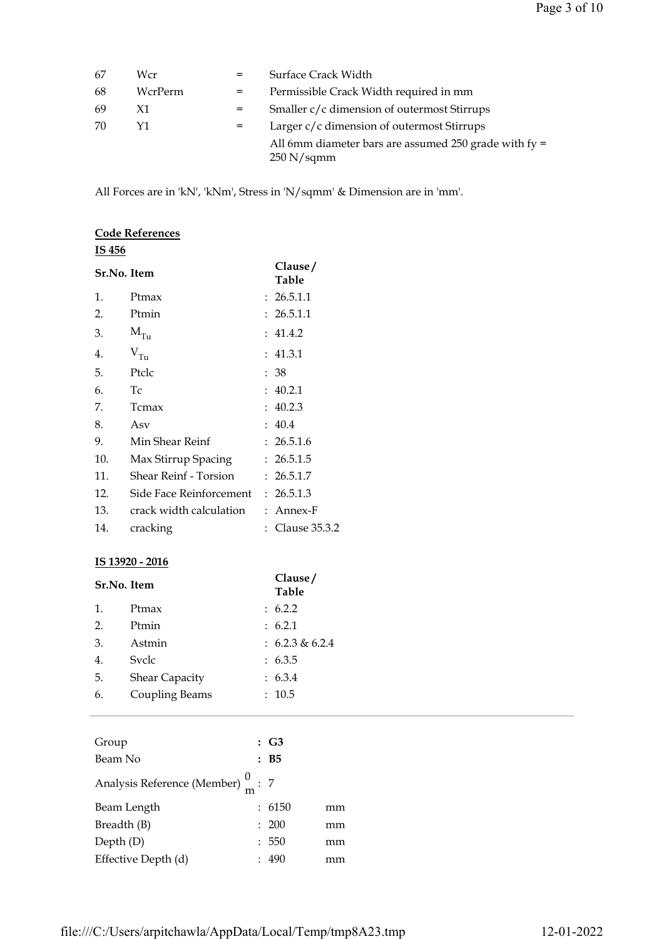| 67 | Wcr     |     | <b>Surface Crack Width</b>                                            |
|----|---------|-----|-----------------------------------------------------------------------|
| 68 | WcrPerm | $=$ | Permissible Crack Width required in mm                                |
| 69 | X1      | $=$ | Smaller c/c dimension of outermost Stirrups                           |
| 70 | Υ1      | $=$ | Larger c/c dimension of outermost Stirrups                            |
|    |         |     | All 6mm diameter bars are assumed 250 grade with $fy =$<br>250 N/sqmm |

All Forces are in 'kN', 'kNm', Stress in 'N/sqmm' & Dimension are in 'mm'.

|             | <b>Code References</b>  |                  |
|-------------|-------------------------|------------------|
| IS 456      |                         |                  |
| Sr.No. Item |                         | Clause/<br>Table |
| 1.          | Ptmax                   | : 26.5.1.1       |
| 2.          | Ptmin                   | : 26.5.1.1       |
| 3.          | $M_{Tu}$                | : 41.4.2         |
| 4.          | $V_{Tu}$                | : 41.3.1         |
| 5.          | Ptclc                   | : 38             |
| 6.          | T <sub>C</sub>          | : 40.2.1         |
| 7.          | Tcmax                   | : 40.2.3         |
| 8.          | Asv                     | : 40.4           |
| 9.          | Min Shear Reinf         | : 26.5.1.6       |
| 10.         | Max Stirrup Spacing     | : 26.5.1.5       |
| 11.         | Shear Reinf - Torsion   | : 26.5.1.7       |
| 12.         | Side Face Reinforcement | : 26.5.1.3       |
| 13.         | crack width calculation | : Annex-F        |
| 14.         | cracking                | : Clause 35.3.2  |

#### IS 13920 - 2016

| Sr.No. Item |                       | Clause/<br><b>Table</b> |
|-------------|-----------------------|-------------------------|
| 1.          | Ptmax                 | : 6.2.2                 |
| 2.          | Ptmin                 | : 6.2.1                 |
| 3.          | Astmin                | : $6.2.3 \& 6.2.4$      |
| 4.          | Svele                 | : 6.3.5                 |
| 5.          | <b>Shear Capacity</b> | : 6.3.4                 |
| 6.          | Coupling Beams        | : 10.5                  |
|             |                       |                         |

| Group                                         | $\colon$ G3 |    |
|-----------------------------------------------|-------------|----|
| Beam No                                       | :B5         |    |
| Analysis Reference (Member) $\frac{0}{m}$ : 7 |             |    |
| Beam Length                                   | : 6150      | mm |
| Breadth (B)                                   | : 200       | mm |
| Depth $(D)$                                   | : 550       | mm |
| Effective Depth (d)                           | 490         | mm |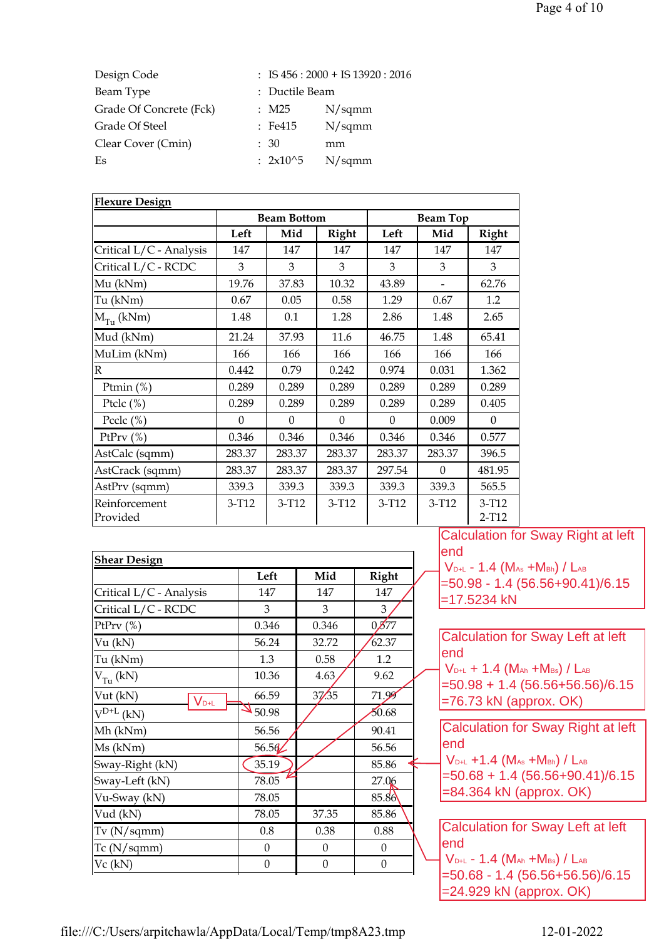| Design Code             |                | $:$ IS 456 : 2000 + IS 13920 : 2016 |
|-------------------------|----------------|-------------------------------------|
| Beam Type               | : Ductile Beam |                                     |
| Grade Of Concrete (Fck) | $:$ M25        | N/sqmm                              |
| Grade Of Steel          | $\pm$ Fe415    | N/sqmm                              |
| Clear Cover (Cmin)      | $\div$ 30      | mm                                  |
| Es                      | : $2x10^{6}5$  | N/sqmm                              |

| <b>Flexure Design</b>     |          |                    |          |                 |                          |                  |
|---------------------------|----------|--------------------|----------|-----------------|--------------------------|------------------|
|                           |          | <b>Beam Bottom</b> |          | <b>Beam Top</b> |                          |                  |
|                           | Left     | Mid                | Right    | Left            | Mid                      | <b>Right</b>     |
| Critical L/C - Analysis   | 147      | 147                | 147      | 147             | 147                      | 147              |
| Critical L/C - RCDC       | 3        | 3                  | 3        | 3               | 3                        | 3                |
| Mu (kNm)                  | 19.76    | 37.83              | 10.32    | 43.89           | $\overline{\phantom{0}}$ | 62.76            |
| Tu (kNm)                  | 0.67     | 0.05               | 0.58     | 1.29            | 0.67                     | 1.2              |
| $M_{T_U}$ (kNm)           | 1.48     | 0.1                | 1.28     | 2.86            | 1.48                     | 2.65             |
| Mud (kNm)                 | 21.24    | 37.93              | 11.6     | 46.75           | 1.48                     | 65.41            |
| MuLim (kNm)               | 166      | 166                | 166      | 166             | 166                      | 166              |
| $\mathbb{R}$              | 0.442    | 0.79               | 0.242    | 0.974           | 0.031                    | 1.362            |
| Ptmin $(\%)$              | 0.289    | 0.289              | 0.289    | 0.289           | 0.289                    | 0.289            |
| Ptclc $(\%)$              | 0.289    | 0.289              | 0.289    | 0.289           | 0.289                    | 0.405            |
| Pcclc $(\%)$              | $\Omega$ | $\Omega$           | $\Omega$ | $\Omega$        | 0.009                    | $\theta$         |
| PtPrv $(\%)$              | 0.346    | 0.346              | 0.346    | 0.346           | 0.346                    | 0.577            |
| AstCalc (sqmm)            | 283.37   | 283.37             | 283.37   | 283.37          | 283.37                   | 396.5            |
| AstCrack (sqmm)           | 283.37   | 283.37             | 283.37   | 297.54          | $\theta$                 | 481.95           |
| AstPrv (sqmm)             | 339.3    | 339.3              | 339.3    | 339.3           | 339.3                    | 565.5            |
| Reinforcement<br>Provided | $3-T12$  | $3-T12$            | $3-T12$  | $3-T12$         | $3-T12$                  | $3-T12$<br>2-T12 |

| <b>Shear Design</b>          |                  |                  |                 | end                                                                                                   |
|------------------------------|------------------|------------------|-----------------|-------------------------------------------------------------------------------------------------------|
|                              | Left             | Mid              | Right           | $V_{D+L}$ - 1.4 (M <sub>As</sub> +M <sub>Bh</sub> ) / L <sub>AB</sub>                                 |
| Critical L/C - Analysis      | 147              | 147              | 147             | $=$ 50.98 - 1.4 (56.56+90.4)<br>$=17.5234$ kN                                                         |
| Critical L/C - RCDC          | 3                | 3                | 3               |                                                                                                       |
| PtPrv $(\%)$                 | 0.346            | 0.346            | $0\cancel{577}$ |                                                                                                       |
| Vu (kN)                      | 56.24            | 32.72            | 62.37           | <b>Calculation for Sway Left</b>                                                                      |
| Tu (kNm)                     | 1.3              | 0.58             | 1.2             | end                                                                                                   |
| $V_{T_{11}}(kN)$             | 10.36            | 4.63             | 9.62            | $V_{D+L}$ + 1.4 (M <sub>Ah</sub> +M <sub>Bs</sub> ) / L <sub>AB</sub><br>$=50.98 + 1.4(56.56 + 56.5)$ |
| Vut (kN)<br>$V_{\text{D+L}}$ | 66.59            | 37/35            | 71.99           | $=76.73$ kN (approx. OK)                                                                              |
| $V^{D+L}$ (kN)               | 50.98            |                  | 50.68           |                                                                                                       |
| Mh (kNm)                     | 56.56            |                  | 90.41           | <b>Calculation for Sway Right</b>                                                                     |
| Ms (kNm)                     | 56.562           |                  | 56.56           | end                                                                                                   |
| Sway-Right (kN)              | 35.19            |                  | 85.86           | $V_{D+L}$ +1.4 (M <sub>As</sub> +M <sub>Bh</sub> ) / L <sub>AB</sub>                                  |
| Sway-Left (kN)               | 78.05            |                  | 27.06           | $=50.68 + 1.4(56.56 + 90.4)$                                                                          |
| Vu-Sway (kN)                 | 78.05            |                  | 85.86           | =84.364 kN (approx. OK)                                                                               |
| Vud (kN)                     | 78.05            | 37.35            | 85.86           |                                                                                                       |
| Tv(N/sqmm)                   | 0.8              | 0.38             | 0.88            | <b>Calculation for Sway Left</b>                                                                      |
| $Tc$ (N/sqmm)                | $\overline{0}$   | $\boldsymbol{0}$ | $\overline{0}$  | lend                                                                                                  |
| $Vc$ (kN)                    | $\boldsymbol{0}$ | $\boldsymbol{0}$ | $\mathbf{0}$    | $V_{D+L}$ - 1.4 (Man +Mbs) / Lab<br>-50 68 - 1 4 (56 56+56 5)                                         |

Calculation for Sway Right at left lend  $\sqrt{V_{\text{D+L}}}$  - 1.4 (M<sub>As</sub> +M<sub>Bh</sub>) / L<sub>AB</sub> =50.98 - 1.4 (56.56+90.41)/6.15 =17.5234 kN

Calculation for Sway Left at left end  $\frac{1}{2}$  V<sub>D+L</sub> + 1.4 (M<sub>Ah</sub> +M<sub>Bs</sub>) / L<sub>AB</sub> =50.98 + 1.4 (56.56+56.56)/6.15 =76.73 kN (approx. OK)

Calculation for Sway Right at left end  $V_{D+L}$  +1.4 (M<sub>As</sub> +M<sub>Bh</sub>) / L<sub>AB</sub> =50.68 + 1.4 (56.56+90.41)/6.15

Calculation for Sway Left at left end  $V_{D+L}$  - 1.4 (M<sub>Ah</sub> +M<sub>Bs</sub>) / L<sub>AB</sub> =50.68 - 1.4 (56.56+56.56)/6.15 =24.929 kN (approx. OK)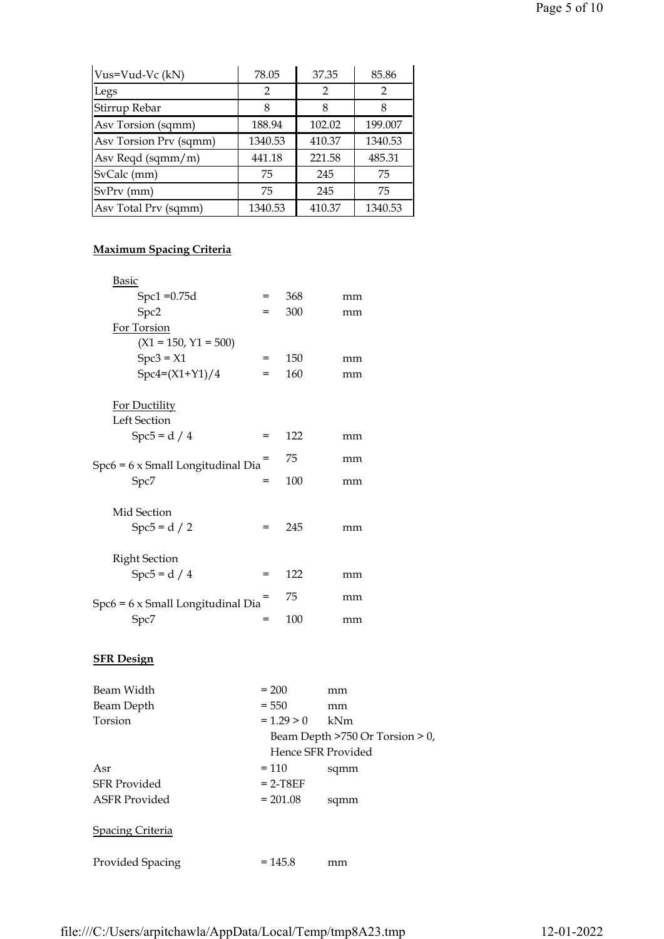| Vus=Vud-Vc (kN)        | 78.05         | 37.35         | 85.86   |
|------------------------|---------------|---------------|---------|
| Legs                   | $\mathcal{P}$ | $\mathcal{P}$ | 2       |
| Stirrup Rebar          | 8             | 8             | 8       |
| Asv Torsion (sqmm)     | 188.94        | 102.02        | 199.007 |
| Asv Torsion Prv (sqmm) | 1340.53       | 410.37        | 1340.53 |
| Asv Reqd (sqmm/m)      | 441.18        | 221.58        | 485.31  |
| SvCalc (mm)            | 75            | 245           | 75      |
| SvPrv (mm)             | 75            | 245           | 75      |
| Asv Total Prv (sqmm)   | 1340.53       | 410.37        | 1340.53 |

## Maximum Spacing Criteria

| <b>Basic</b>                             |     |     |    |
|------------------------------------------|-----|-----|----|
| $Spc1 = 0.75d$                           | $=$ | 368 | mm |
| Spc2                                     | $=$ | 300 | mm |
| For Torsion                              |     |     |    |
| $(X1 = 150, Y1 = 500)$                   |     |     |    |
| $Spc3 = X1$                              | =   | 150 | mm |
| $Spc4=(X1+Y1)/4$                         | $=$ | 160 | mm |
|                                          |     |     |    |
| For Ductility                            |     |     |    |
| Left Section                             |     |     |    |
| $Spc5 = d / 4$                           | $=$ | 122 | mm |
| $Spc6 = 6 \times Small$ Longitudinal Dia |     | 75  | mm |
| Spc7                                     | =   | 100 | mm |
|                                          |     |     |    |
| Mid Section                              |     |     |    |
| $Spc5 = d / 2$                           | $=$ | 245 | mm |
|                                          |     |     |    |
| <b>Right Section</b>                     |     |     |    |
| $Spc5 = d / 4$                           | =   | 122 | mm |
|                                          |     | 75  |    |
| $Spc6 = 6 \times Small$ Longitudinal Dia |     |     | mm |
| Spc7                                     | =   | 100 | mm |
|                                          |     |     |    |

### **SFR Design**

| Beam Width          | $= 200$            | mm                                   |
|---------------------|--------------------|--------------------------------------|
| Beam Depth          | $= 550$            | mm                                   |
| Torsion             | $= 1.29 > 0$       | kNm                                  |
|                     |                    | Beam Depth $>750$ Or Torsion $> 0$ , |
|                     | Hence SFR Provided |                                      |
| Asr                 | $= 110$            | sqmm                                 |
| <b>SFR</b> Provided | $= 2 - T8EF$       |                                      |
| ASFR Provided       | $= 201.08$         | sqmm                                 |
|                     |                    |                                      |
| Spacing Criteria    |                    |                                      |
|                     |                    |                                      |
| Provided Spacing    | $=145.8$           | mm                                   |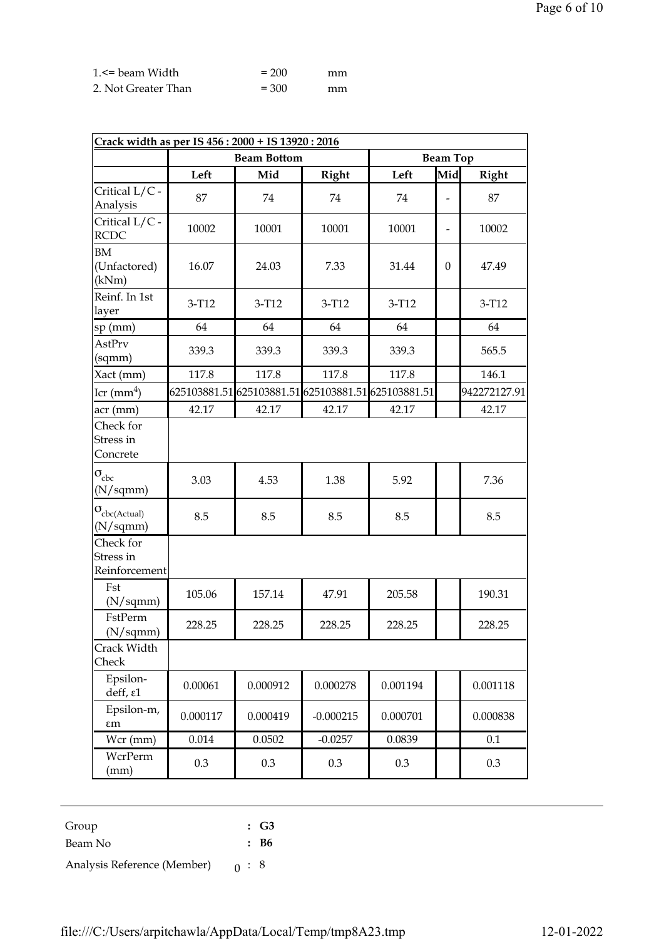| 1. S = beam Width   | $= 200$ | mm |
|---------------------|---------|----|
| 2. Not Greater Than | $= 300$ | mm |

| Crack width as per IS 456: 2000 + IS 13920: 2016 |           |                    |              |                                                     |                          |              |
|--------------------------------------------------|-----------|--------------------|--------------|-----------------------------------------------------|--------------------------|--------------|
|                                                  |           | <b>Beam Bottom</b> |              |                                                     | <b>Beam Top</b>          |              |
|                                                  | Left      | Mid                | <b>Right</b> | Left                                                | Mid                      | <b>Right</b> |
| Critical L/C -<br>Analysis                       | 87        | 74                 | 74           | 74                                                  |                          | 87           |
| Critical L/C -<br><b>RCDC</b>                    | 10002     | 10001              | 10001        | 10001                                               | $\overline{\phantom{a}}$ | 10002        |
| <b>BM</b><br>(Unfactored)<br>(kNm)               | 16.07     | 24.03              | 7.33         | 31.44                                               | $\Omega$                 | 47.49        |
| Reinf. In 1st<br>layer                           | $3-T12$   | 3-T12              | $3-T12$      | $3-T12$                                             |                          | $3-T12$      |
| sp (mm)                                          | 64        | 64                 | 64           | 64                                                  |                          | 64           |
| AstPrv<br>(sqmm)                                 | 339.3     | 339.3              | 339.3        | 339.3                                               |                          | 565.5        |
| Xact (mm)                                        | 117.8     | 117.8              | 117.8        | 117.8                                               |                          | 146.1        |
| $Icr$ (mm <sup>4</sup> )                         |           |                    |              | 625103881.51 625103881.51 625103881.51 625103881.51 |                          | 942272127.91 |
| acr (mm)                                         | 42.17     | 42.17              | 42.17        | 42.17                                               |                          | 42.17        |
| Check for<br>Stress in<br>Concrete               |           |                    |              |                                                     |                          |              |
| $\sigma_{\rm cbc}$<br>$(N/\mathrm{sqmm})$        | 3.03      | 4.53               | 1.38         | 5.92                                                |                          | 7.36         |
| $\sigma_{\rm cbc(Actual)}$<br>(N/sqmm)           | 8.5       | 8.5                | 8.5          | 8.5                                                 |                          | 8.5          |
| Check for<br>Stress in<br>Reinforcement          |           |                    |              |                                                     |                          |              |
| Fst<br>(N/sqmm)                                  | 105.06    | 157.14             | 47.91        | 205.58                                              |                          | 190.31       |
| FstPerm<br>(N/sqmm)                              | 228.25    | 228.25             | 228.25       | 228.25                                              |                          | 228.25       |
| Crack Width<br>Check                             |           |                    |              |                                                     |                          |              |
| Epsilon-<br>deff, ε1                             | 0.00061   | 0.000912           | 0.000278     | 0.001194                                            |                          | 0.001118     |
| Epsilon-m,<br>$\epsilon$ m                       | 0.000117  | 0.000419           | $-0.000215$  | 0.000701                                            |                          | 0.000838     |
| Wcr (mm)                                         | $0.014\,$ | 0.0502             | $-0.0257$    | 0.0839                                              |                          | 0.1          |
| WcrPerm<br>(mm)                                  | 0.3       | 0.3                | 0.3          | $0.3\,$                                             |                          | 0.3          |

| Group                       |     | $\therefore$ G3 |
|-----------------------------|-----|-----------------|
| Beam No                     |     | : B6            |
| Analysis Reference (Member) | 0:8 |                 |

file:///C:/Users/arpitchawla/AppData/Local/Temp/tmp8A23.tmp 12-01-2022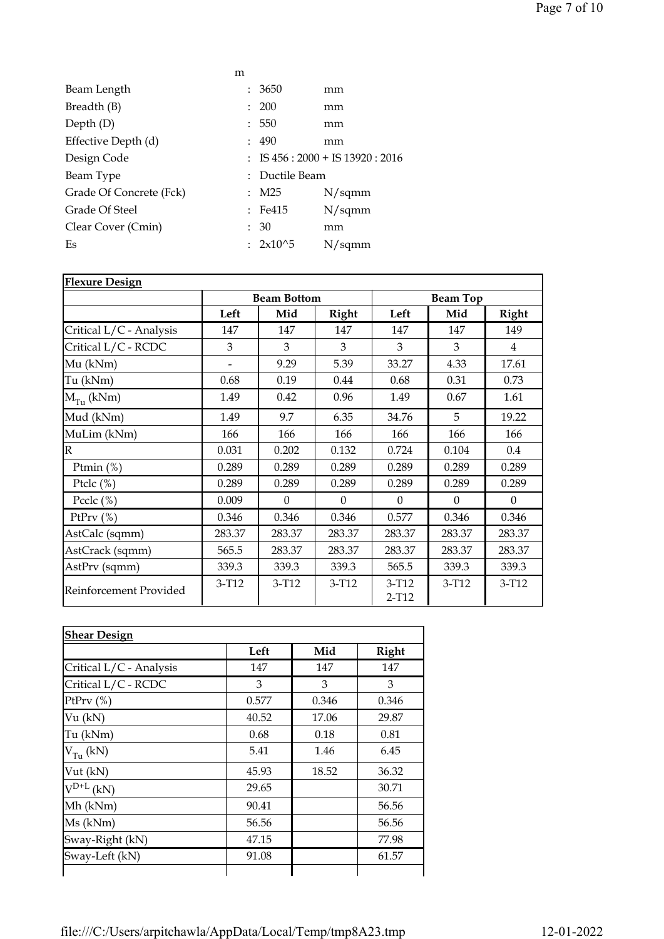|                         | m                         |                    |                                          |
|-------------------------|---------------------------|--------------------|------------------------------------------|
| Beam Length             |                           | 3650               | mm                                       |
| Breadth (B)             | $\mathbb{R}^{\mathbb{Z}}$ | <b>200</b>         | mm                                       |
| Depth $(D)$             | $\mathbb{R}^{\mathbb{Z}}$ | 550                | mm                                       |
| Effective Depth (d)     |                           | : 490              | mm                                       |
| Design Code             |                           |                    | $\colon$ IS 456 : 2000 + IS 13920 : 2016 |
| Beam Type               |                           | : Ductile Beam     |                                          |
| Grade Of Concrete (Fck) |                           | M25                | N/sqmm                                   |
| Grade Of Steel          |                           | $\therefore$ Fe415 | N/sqmm                                   |
| Clear Cover (Cmin)      | ÷.                        | 30                 | mm                                       |
| Es                      |                           | : $2x10^{6}5$      | N/sqmm                                   |

| <b>Flexure Design</b>   |                    |          |          |                    |          |                |
|-------------------------|--------------------|----------|----------|--------------------|----------|----------------|
|                         | <b>Beam Bottom</b> |          |          | <b>Beam Top</b>    |          |                |
|                         | Left               | Mid      | Right    | Left               | Mid      | Right          |
| Critical L/C - Analysis | 147                | 147      | 147      | 147                | 147      | 149            |
| Critical L/C - RCDC     | 3                  | 3        | 3        | 3                  | 3        | $\overline{4}$ |
| Mu (kNm)                |                    | 9.29     | 5.39     | 33.27              | 4.33     | 17.61          |
| Tu (kNm)                | 0.68               | 0.19     | 0.44     | 0.68               | 0.31     | 0.73           |
| $M_{Tu}$ (kNm)          | 1.49               | 0.42     | 0.96     | 1.49               | 0.67     | 1.61           |
| Mud (kNm)               | 1.49               | 9.7      | 6.35     | 34.76              | 5        | 19.22          |
| MuLim (kNm)             | 166                | 166      | 166      | 166                | 166      | 166            |
| $\overline{\mathbb{R}}$ | 0.031              | 0.202    | 0.132    | 0.724              | 0.104    | 0.4            |
| Ptmin (%)               | 0.289              | 0.289    | 0.289    | 0.289              | 0.289    | 0.289          |
| Ptclc $(\%)$            | 0.289              | 0.289    | 0.289    | 0.289              | 0.289    | 0.289          |
| Pcclc $(\%)$            | 0.009              | $\Omega$ | $\Omega$ | $\Omega$           | $\Omega$ | $\theta$       |
| PtPrv $(\%)$            | 0.346              | 0.346    | 0.346    | 0.577              | 0.346    | 0.346          |
| AstCalc (sqmm)          | 283.37             | 283.37   | 283.37   | 283.37             | 283.37   | 283.37         |
| AstCrack (sqmm)         | 565.5              | 283.37   | 283.37   | 283.37             | 283.37   | 283.37         |
| AstPrv (sqmm)           | 339.3              | 339.3    | 339.3    | 565.5              | 339.3    | 339.3          |
| Reinforcement Provided  | $3-T12$            | $3-T12$  | $3-T12$  | $3-T12$<br>$2-T12$ | $3-T12$  | $3 - T12$      |

|                         | Left  | Mid   | Right |
|-------------------------|-------|-------|-------|
| Critical L/C - Analysis | 147   | 147   | 147   |
| Critical L/C - RCDC     | 3     | 3     | 3     |
| PtPrv $(\%)$            | 0.577 | 0.346 | 0.346 |
| Vu (kN)                 | 40.52 | 17.06 | 29.87 |
| Tu (kNm)                | 0.68  | 0.18  | 0.81  |
| $V_{Tu}$ (kN)           | 5.41  | 1.46  | 6.45  |
| Vut (kN)                | 45.93 | 18.52 | 36.32 |
| $V^{D+L}$ (kN)          | 29.65 |       | 30.71 |
| Mh (kNm)                | 90.41 |       | 56.56 |
| Ms (kNm)                | 56.56 |       | 56.56 |
| Sway-Right (kN)         | 47.15 |       | 77.98 |
| Sway-Left (kN)          | 91.08 |       | 61.57 |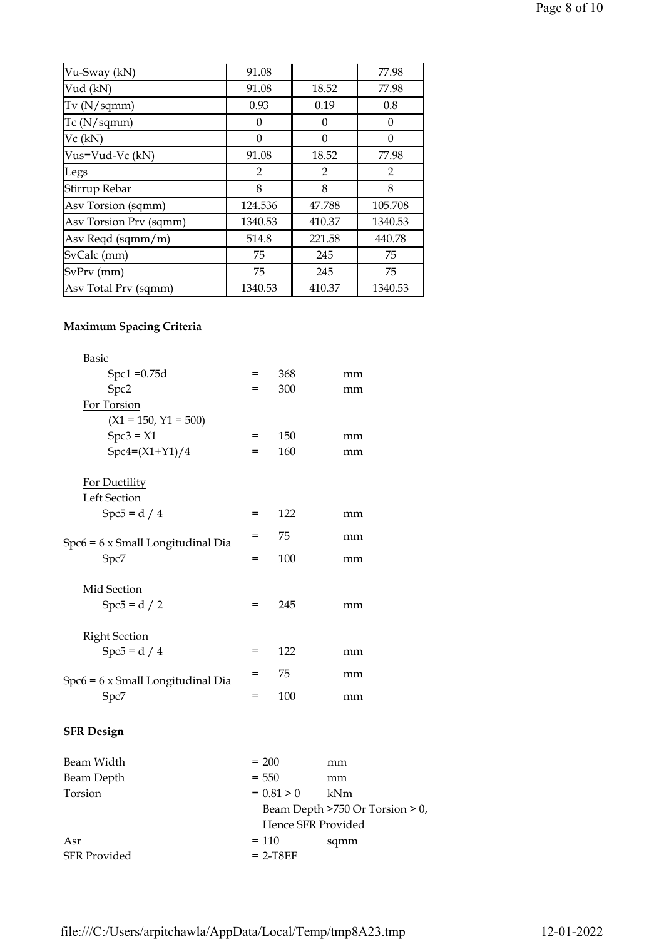| Vu-Sway (kN)           | 91.08          |          | 77.98          |
|------------------------|----------------|----------|----------------|
| Vud (kN)               | 91.08          | 18.52    | 77.98          |
| Tv(N/sqmm)             | 0.93           | 0.19     | 0.8            |
| $Tc$ (N/sqmm)          | $\theta$       | 0        | 0              |
| Vc (kN)                | $\theta$       | $\theta$ | $\Omega$       |
| Vus=Vud-Vc (kN)        | 91.08          | 18.52    | 77.98          |
| Legs                   | $\overline{2}$ | 2        | $\overline{2}$ |
| Stirrup Rebar          | 8              | 8        | 8              |
| Asv Torsion (sqmm)     | 124.536        | 47.788   | 105.708        |
| Asy Torsion Prv (sqmm) | 1340.53        | 410.37   | 1340.53        |
| Asv Reqd (sqmm/m)      | 514.8          | 221.58   | 440.78         |
| SvCalc (mm)            | 75             | 245      | 75             |
| SvPrv (mm)             | 75             | 245      | 75             |
| Asv Total Prv (sqmm)   | 1340.53        | 410.37   | 1340.53        |

## Maximum Spacing Criteria

| <b>Basic</b>                         |                                 |              |     |  |
|--------------------------------------|---------------------------------|--------------|-----|--|
| $Spc1 = 0.75d$                       | $=$                             | 368          | mm  |  |
| Spc2                                 | $=$                             | 300          | mm  |  |
| For Torsion                          |                                 |              |     |  |
| $(X1 = 150, Y1 = 500)$               |                                 |              |     |  |
| $Spc3 = X1$                          | $=$                             | 150          | mm  |  |
| $Spc4=(X1+Y1)/4$                     | $=$                             | 160          | mm  |  |
| For Ductility                        |                                 |              |     |  |
| <b>Left Section</b>                  |                                 |              |     |  |
| $Spc5 = d / 4$                       | =                               | 122          | mm  |  |
| $Spec6 = 6$ x Small Longitudinal Dia | =                               | 75           | mm  |  |
| Spc7                                 | =                               | 100          | mm  |  |
| Mid Section                          |                                 |              |     |  |
| $Spc5 = d / 2$                       | $=$                             | 245          | mm  |  |
| <b>Right Section</b>                 |                                 |              |     |  |
| $Spc5 = d / 4$                       | $=$                             | 122          | mm  |  |
| $Spec6 = 6$ x Small Longitudinal Dia | $=$                             | 75           | mm  |  |
| Spc7                                 | $=$                             | 100          | mm  |  |
| <b>SFR Design</b>                    |                                 |              |     |  |
| Beam Width                           | $= 200$                         |              | mm  |  |
| <b>Beam Depth</b>                    | $= 550$                         |              | mm  |  |
| Torsion                              |                                 | $= 0.81 > 0$ | kNm |  |
|                                      | Beam Depth >750 Or Torsion > 0, |              |     |  |

| Asr                 | $= 110$    | sqmm |
|---------------------|------------|------|
| <b>SFR Provided</b> | $= 2-T8EF$ |      |
|                     |            |      |
|                     |            |      |
|                     |            |      |
|                     |            |      |

Hence SFR Provided